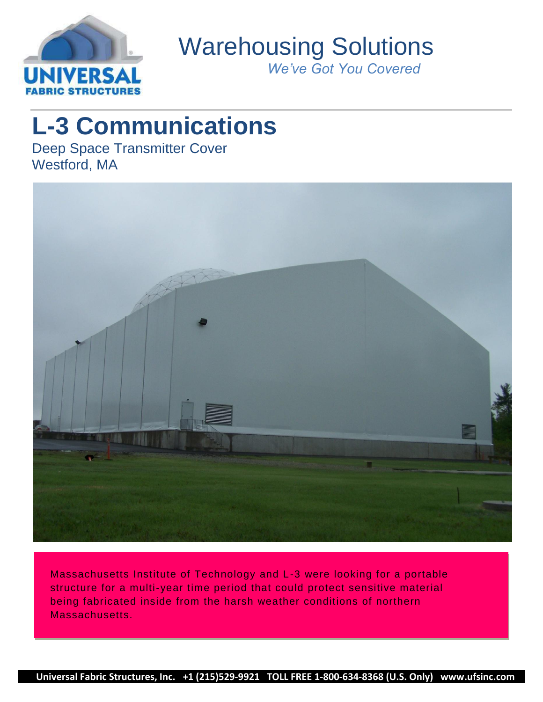

Warehousing Solutions

*We've Got You Covered*

# **L-3 Communications**

Deep Space Transmitter Cover Westford, MA



Massachusetts Institute of Technology and L-3 were looking for a portable structure for a multi-year time period that could protect sensitive material being fabricated inside from the harsh weather conditions of northern Massachusetts.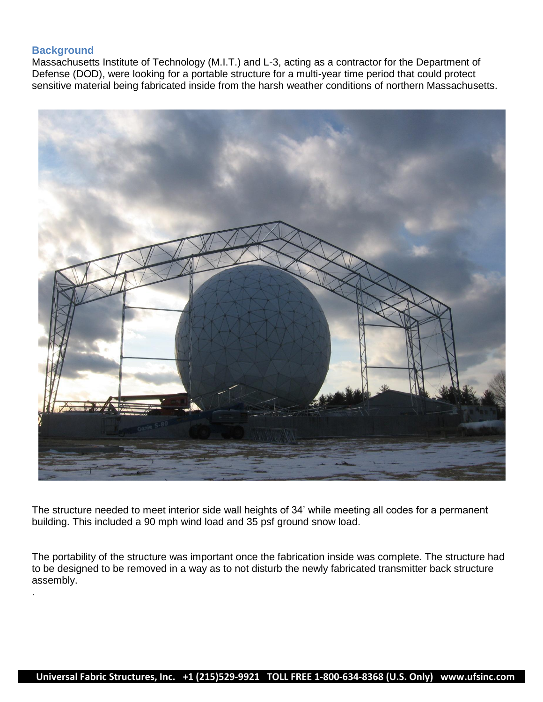## **Background**

.

Massachusetts Institute of Technology (M.I.T.) and L-3, acting as a contractor for the Department of Defense (DOD), were looking for a portable structure for a multi-year time period that could protect sensitive material being fabricated inside from the harsh weather conditions of northern Massachusetts.



The structure needed to meet interior side wall heights of 34' while meeting all codes for a permanent building. This included a 90 mph wind load and 35 psf ground snow load.

The portability of the structure was important once the fabrication inside was complete. The structure had to be designed to be removed in a way as to not disturb the newly fabricated transmitter back structure assembly.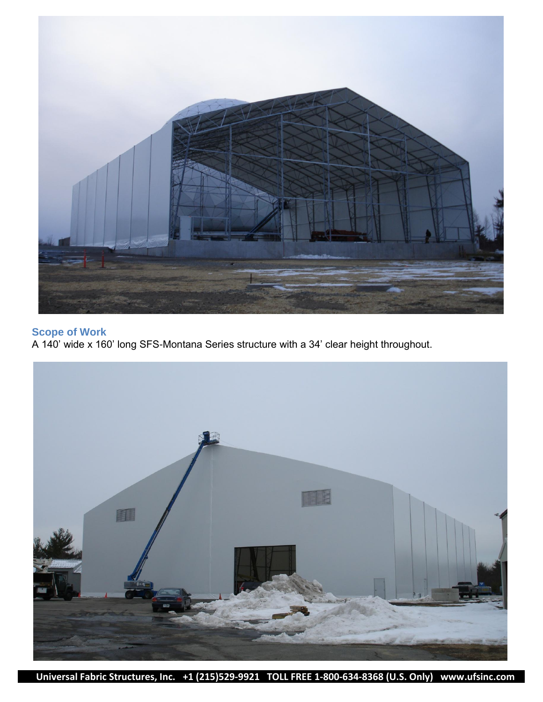

## **Scope of Work**

A 140' wide x 160' long SFS-Montana Series structure with a 34' clear height throughout.



 **Universal Fabric Structures, Inc. +1 (215)529-9921 TOLL FREE 1-800-634-8368 (U.S. Only) www.ufsinc.com**